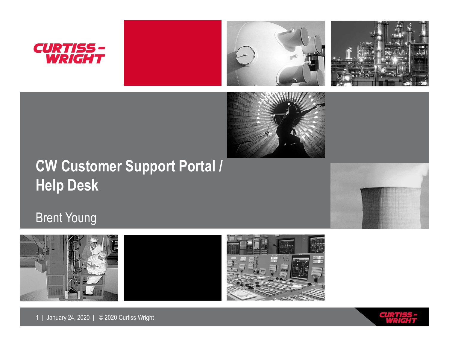







## **CW Customer Support Portal / Help Desk**



#### Brent Young









1 | January 24, 2020 | © 2020 Curtiss-Wright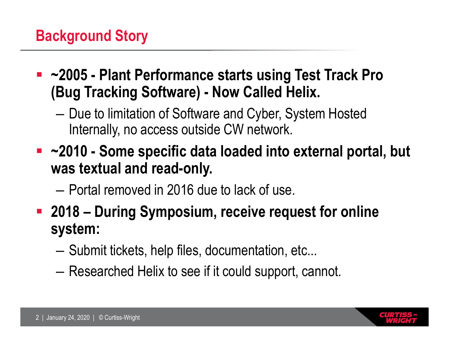#### **Background Story**

- **~2005 - Plant Performance starts using Test Track Pro (Bug Tracking Software) - Now Called Helix.**
	- Due to limitation of Software and Cyber, System Hosted Internally, no access outside CW network.
- **~2010 - Some specific data loaded into external portal, but was textual and read-only.**
	- Portal removed in 2016 due to lack of use.
- **2018 – During Symposium, receive request for online system:**
	- Submit tickets, help files, documentation, etc...
	- Researched Helix to see if it could support, cannot.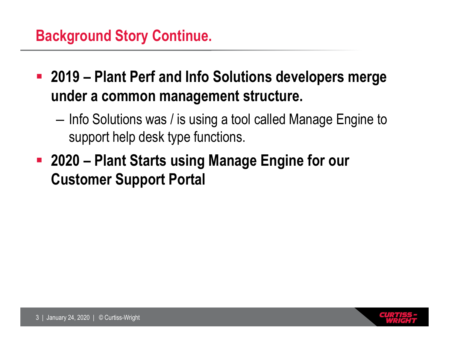#### **Background Story Continue.**

- **2019 – Plant Perf and Info Solutions developers merge under a common management structure.**
	- Info Solutions was / is using a tool called Manage Engine to support help desk type functions.
- **2020 – Plant Starts using Manage Engine for our Customer Support Portal**

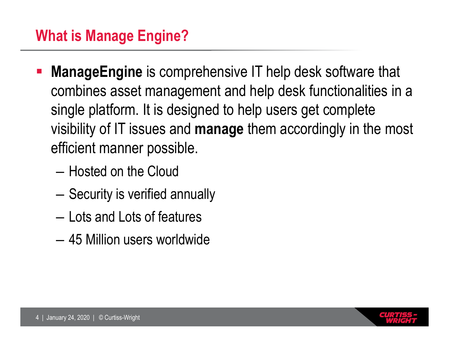- **ManageEngine** is comprehensive IT help desk software that combines asset management and help desk functionalities in a single platform. It is designed to help users get complete visibility of IT issues and **manage** them accordingly in the most efficient manner possible.
	- Hosted on the Cloud
	- Security is verified annually
	- Lots and Lots of features
	- 45 Million users worldwide

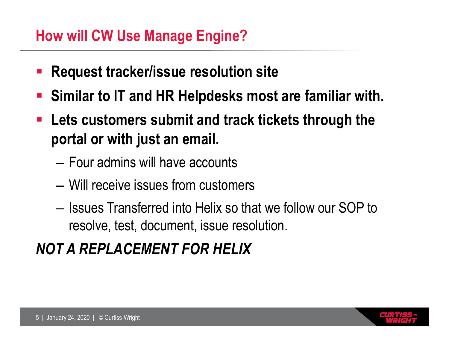#### **How will CW Use Manage Engine?**

- **Request tracker/issue resolution site**
- **Similar to IT and HR Helpdesks most are familiar with.**
- **Lets customers submit and track tickets through the portal or with just an email.**
	- Four admins will have accounts
	- Will receive issues from customers
	- Issues Transferred into Helix so that we follow our SOP to resolve, test, document, issue resolution.

# *NOT A REPLACEMENT FOR HELIX*

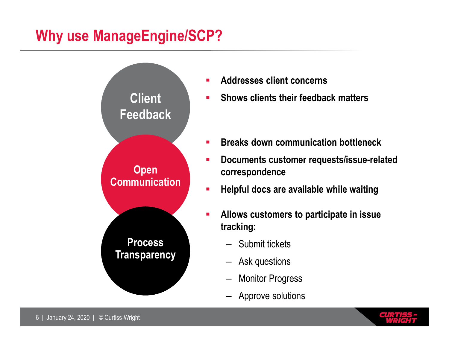### **Why use ManageEngine/SCP?**



- **Addresses client concerns**
- **Shows clients their feedback matters**
- **Breaks down communication bottleneck**
- **Documents customer requests/issue-related correspondence**
- **Helpful docs are available while waiting**
- **Allows customers to participate in issue tracking:**
	- Submit tickets
	- Ask questions
	- **Monitor Progress**
	- Approve solutions

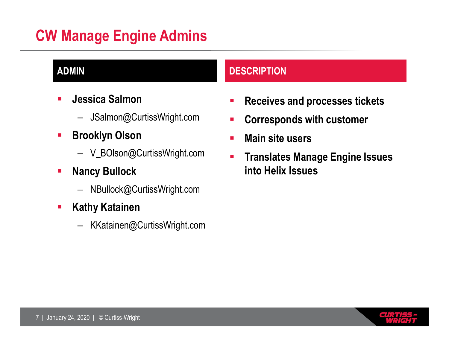### **CW Manage Engine Admins**

- **Jessica Salmon**
	- JSalmon@CurtissWright.com
- **Brooklyn Olson** 
	- V\_BOlson@CurtissWright.com
- **-** Nancy Bullock
	- NBullock@CurtissWright.com
- **Kathy Katainen** 
	- KKatainen@CurtissWright.com

#### **ADMIN DESCRIPTION**

- **Receives and processes tickets**
- **EXP** Corresponds with customer
- **Main site users**
- **Translates Manage Engine Issues into Helix Issues**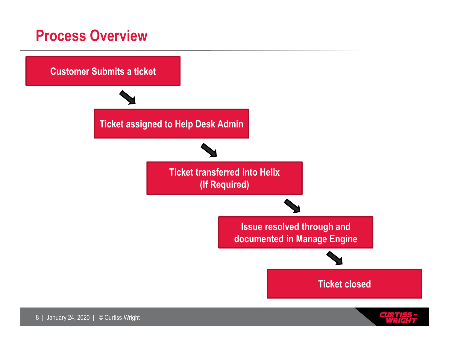#### **Process Overview**



**GUN**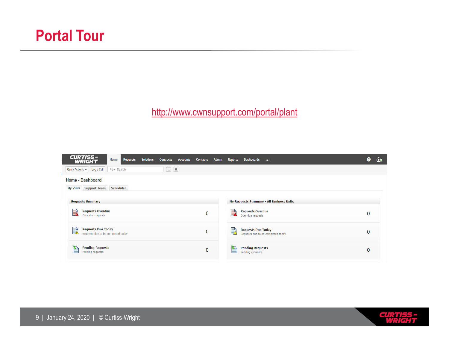http://www.cwnsupport.com/portal/plant

| Admin<br><b>Contacts</b><br><b>Accounts</b> | Dashboards                                                           | <b>❷</b> |  |
|---------------------------------------------|----------------------------------------------------------------------|----------|--|
|                                             |                                                                      |          |  |
|                                             |                                                                      |          |  |
|                                             |                                                                      |          |  |
|                                             | My Requests Summary - All Business Units                             |          |  |
| $\mathbf 0$                                 | <b>Requests Overdue</b><br>R<br>Over due requests                    | 0        |  |
| $\overline{0}$                              | <b>Requests Due Today</b><br>鴥<br>Requests due to be completed today | 0        |  |
| $\mathbf{0}$                                | <b>Pending Requests</b><br>A<br>Pending requests                     | 0        |  |
|                                             |                                                                      | Reports  |  |

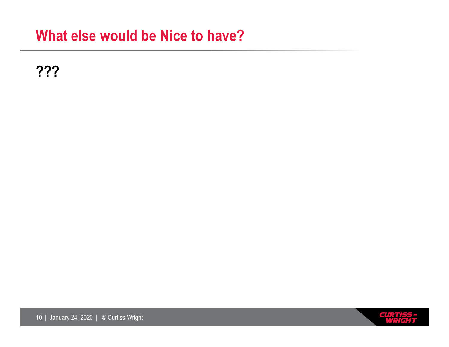#### **What else would be Nice to have?**

**???**